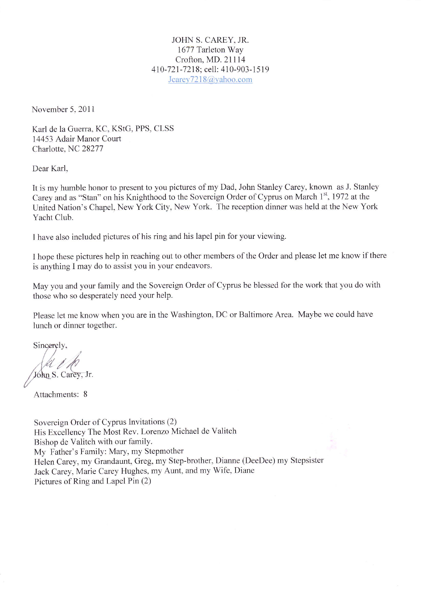JOHN S. CAREY. JR. 1677 Tarleton Way Crofton, MD, 21114 410-721-7218; cell: 410-903-1519 Jcarey7218@yahoo.com

November 5, 2011

Karl de la Guerra, KC, KSIG, PPS, CLSS 14453 Adair Manor Court Charlotte, NC 28277

Dear Karl,

It is my humble honor to present to you pictures of my Dad, John Stanley Carey, known as J. Stanley Carey and as "Stan" on his Knighthood to the Sovereign Order of Cyprus on March 1", 1972 at the United Nation's Chapel, New York City, New York. The reception dinner was held at the New York Yacht Club.

I have also included pictures of his ring and his lapel pin for your viewing.

I hope these pictures help in reaching out to other members of the Order and please let me know if there is anything I may do to assist you in your endeavors.

May you and your family and the Sovereign Order of Cyprus be blessed for the work that you do with those who so desperately need your help.

Please let me know when you are in the Washington, DC or Baltimore Area. Maybe we could have lunch or dinner together.

Sincerely,

John S. Carey, Jr.

Attachments: 8

Sovereign Order of Cyprus Invitations (2) His Excellency The Most Rev. Lorenzo Michael de Valitch Bishop de Valitch with our familY. My Father's Family: Mary, my Stepmother Helen Carey, my Grandaunt, Greg, my Step-brother, Dianne (DeeDee) my Stepsister Jack Carey, Marie Carey Hughes, my Aunt. and my Wife. Diane Pictures of Ring and Lapel Pin (2)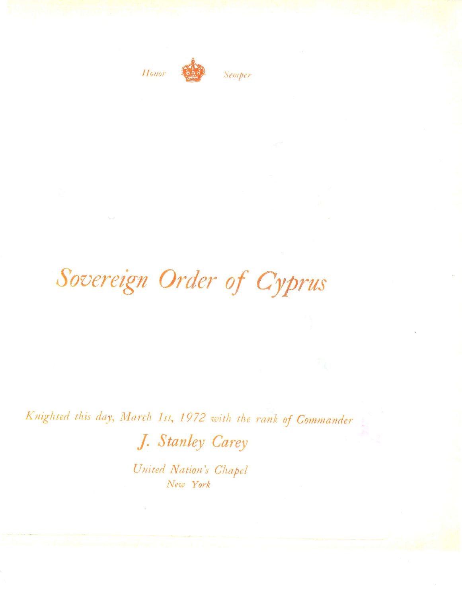

Semper

## Sovereign Order of Cyprus

Knighted this day, March 1st, 1972 with the rank of Commander

J. Stanley Carey

United Nation's Chapel New York